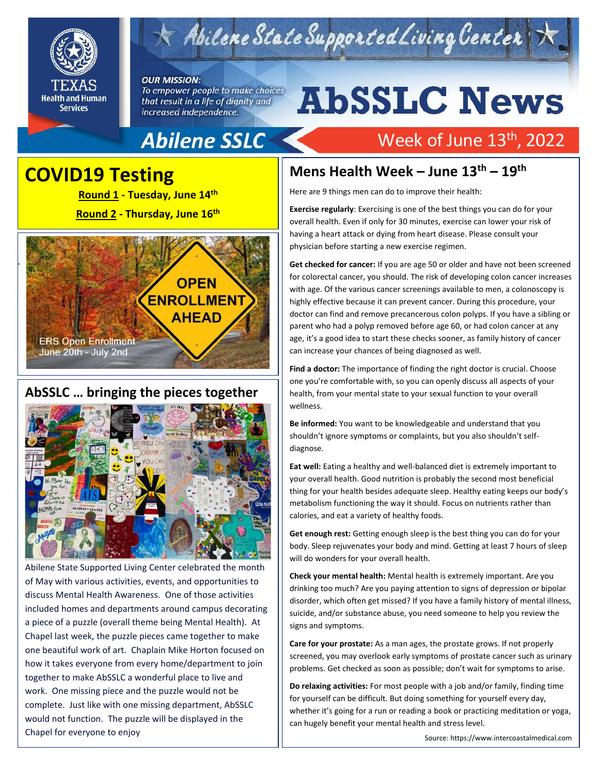

# $\leq$  Abilene State Supported Living Center

#### **OUR MISSION:**

To empower people to make choices that result in a life of dignity and increased independence.

# **AbSSLC News**

Week of June 13<sup>th</sup>, 2022

## Abilene SSLC

### **COVID19 Testing**

**Shout Outs! Round 1 - Tuesday, June 14th Round 2 - Thursday, June 16th**



### **AbSSLC … bringing the pieces together**



Abilene State Supported Living Center celebrated the month of May with various activities, events, and opportunities to discuss Mental Health Awareness. One of those activities included homes and departments around campus decorating a piece of a puzzle (overall theme being Mental Health). At Chapel last week, the puzzle pieces came together to make one beautiful work of art. Chaplain Mike Horton focused on how it takes everyone from every home/department to join together to make AbSSLC a wonderful place to live and work. One missing piece and the puzzle would not be complete. Just like with one missing department, AbSSLC would not function. The puzzle will be displayed in the Chapel for everyone to enjoy

### **Mens Health Week – June 13th – 19th**

Here are 9 things men can do to improve their health:

**Exercise regularly**: Exercising is one of the best things you can do for your overall health. Even if only for 30 minutes, exercise can lower your risk of having a heart attack or dying from heart disease. Please consult your physician before starting a new exercise regimen.

**Get checked for cancer:** If you are age 50 or older and have not been screened for colorectal cancer, you should. The risk of developing colon cancer increases with age. Of the various cancer screenings available to men, a colonoscopy is highly effective because it can prevent cancer. During this procedure, your doctor can find and remove precancerous colon polyps. If you have a sibling or parent who had a polyp removed before age 60, or had colon cancer at any age, it's a good idea to start these checks sooner, as family history of cancer can increase your chances of being diagnosed as well.

one you're comfortable with, so you can openly discuss all aspects of your<br>health, from your mental state to your sexual function to your overall **Find a doctor:** The importance of finding the right doctor is crucial. Choose health, from your mental state to your sexual function to your overall wellness.

**Be informed:** You want to be knowledgeable and understand that you shouldn't ignore symptoms or complaints, but you also shouldn't selfdiagnose.

**Eat well:** Eating a healthy and well-balanced diet is extremely important to your overall health. Good nutrition is probably the second most beneficial thing for your health besides adequate sleep. Healthy eating keeps our body's metabolism functioning the way it should. Focus on nutrients rather than calories, and eat a variety of healthy foods.

**Get enough rest:** Getting enough sleep is the best thing you can do for your body. Sleep rejuvenates your body and mind. Getting at least 7 hours of sleep will do wonders for your overall health.

**Check your mental health:** Mental health is extremely important. Are you drinking too much? Are you paying attention to signs of depression or bipolar disorder, which often get missed? If you have a family history of mental illness, suicide, and/or substance abuse, you need someone to help you review the signs and symptoms.

**Care for your prostate:** As a man ages, the prostate grows. If not properly screened, you may overlook early symptoms of prostate cancer such as urinary problems. Get checked as soon as possible; don't wait for symptoms to arise.

**Do relaxing activities:** For most people with a job and/or family, finding time for yourself can be difficult. But doing something for yourself every day, whether it's going for a run or reading a book or practicing meditation or yoga, can hugely benefit your mental health and stress level.